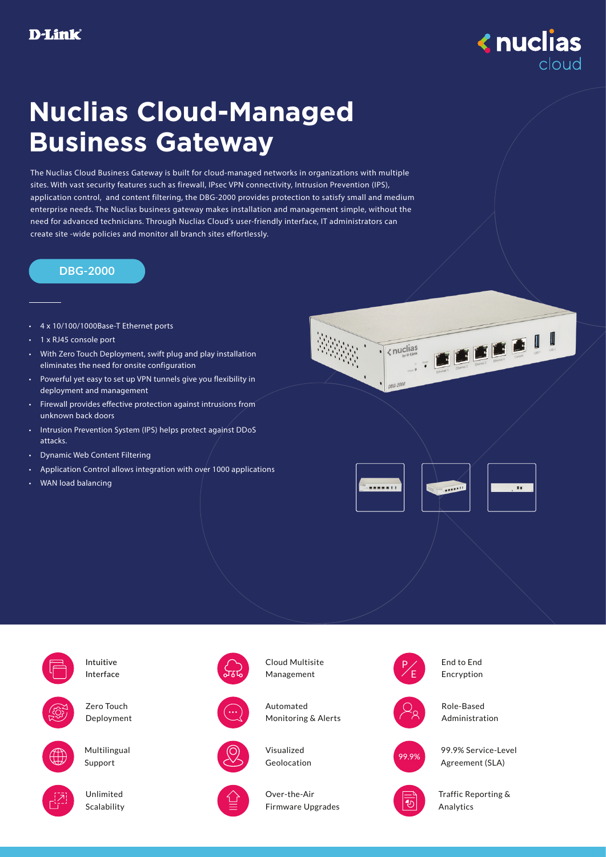

## **Nuclias Cloud-Managed Business Gateway**

The Nuclias Cloud Business Gateway is built for cloud-managed networks in organizations with multiple sites. With vast security features such as firewall, IPsec VPN connectivity, Intrusion Prevention (IPS), application control, and content filtering, the DBG-2000 provides protection to satisfy small and medium enterprise needs. The Nuclias business gateway makes installation and management simple, without the need for advanced technicians. Through Nuclias Cloud's user-friendly interface, IT administrators can create site -wide policies and monitor all branch sites effortlessly.

## **DBG-2000**

- 4 x 10/100/1000Base-T Ethernet ports
- 1 x RJ45 console port
- With Zero Touch Deployment, swift plug and play installation eliminates the need for onsite configuration
- Powerful yet easy to set up VPN tunnels give you flexibility in deployment and management
- Firewall provides effective protection against intrusions from unknown back doors
- Intrusion Prevention System (IPS) helps protect against DDoS attacks.
- Dynamic Web Content Filtering
- Application Control allows integration with over 1000 applications
- WAN load balancing



.......  $1.1111$  $\overline{1}$ 



Intuitive Interface



Zero Touch Deployment



Multilingual Support



Unlimited Scalability





Cloud Multisite





Visualized



Geolocation



Over-the-Air Firmware Upgrades

End to End Encryption E



P

Role-Based Administration



99.9% Service-Level Agreement (SLA)



Traffic Reporting & Analytics